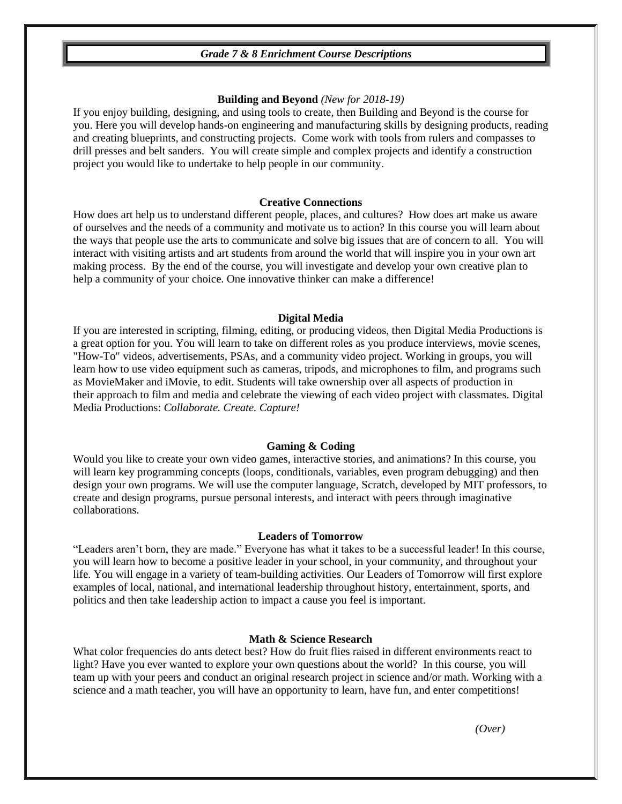# *Grade 7 & 8 Enrichment Course Descriptions*

## **Building and Beyond** *(New for 2018-19)*

If you enjoy building, designing, and using tools to create, then Building and Beyond is the course for you. Here you will develop hands-on engineering and manufacturing skills by designing products, reading and creating blueprints, and constructing projects. Come work with tools from rulers and compasses to drill presses and belt sanders. You will create simple and complex projects and identify a construction project you would like to undertake to help people in our community.

## **Creative Connections**

How does art help us to understand different people, places, and cultures? How does art make us aware of ourselves and the needs of a community and motivate us to action? In this course you will learn about the ways that people use the arts to communicate and solve big issues that are of concern to all. You will interact with visiting artists and art students from around the world that will inspire you in your own art making process. By the end of the course, you will investigate and develop your own creative plan to help a community of your choice. One innovative thinker can make a difference!

#### **Digital Media**

If you are interested in scripting, filming, editing, or producing videos, then Digital Media Productions is a great option for you. You will learn to take on different roles as you produce interviews, movie scenes, "How-To" videos, advertisements, PSAs, and a community video project. Working in groups, you will learn how to use video equipment such as cameras, tripods, and microphones to film, and programs such as MovieMaker and iMovie, to edit. Students will take ownership over all aspects of production in their approach to film and media and celebrate the viewing of each video project with classmates. Digital Media Productions: *Collaborate. Create. Capture!*

#### **Gaming & Coding**

Would you like to create your own video games, interactive stories, and animations? In this course, you will learn key programming concepts (loops, conditionals, variables, even program debugging) and then design your own programs. We will use the computer language, Scratch, developed by MIT professors, to create and design programs, pursue personal interests, and interact with peers through imaginative collaborations.

#### **Leaders of Tomorrow**

"Leaders aren't born, they are made." Everyone has what it takes to be a successful leader! In this course, you will learn how to become a positive leader in your school, in your community, and throughout your life. You will engage in a variety of team-building activities. Our Leaders of Tomorrow will first explore examples of local, national, and international leadership throughout history, entertainment, sports, and politics and then take leadership action to impact a cause you feel is important.

#### **Math & Science Research**

What color frequencies do ants detect best? How do fruit flies raised in different environments react to light? Have you ever wanted to explore your own questions about the world? In this course, you will team up with your peers and conduct an original research project in science and/or math. Working with a science and a math teacher, you will have an opportunity to learn, have fun, and enter competitions!

*(Over)*